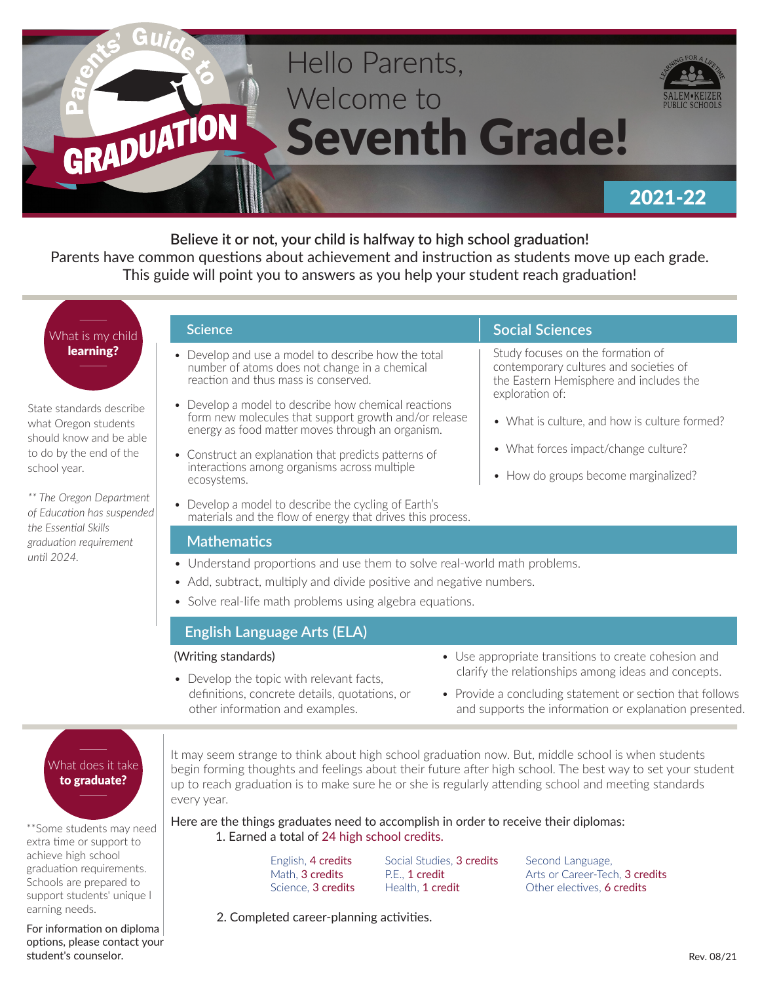

**Believe it or not, your child is halfway to high school graduation!**  Parents have common questions about achievement and instruction as students move up each grade. This guide will point you to answers as you help your student reach graduation!

# What is my child learning?

State standards describe what Oregon students should know and be able to do by the end of the school year.

*\*\* The Oregon Department of Education has suspended the Essential Skills graduation requirement until 2024.*

#### **Science**

- Develop and use a model to describe how the total number of atoms does not change in a chemical reaction and thus mass is conserved.
- Develop a model to describe how chemical reactions form new molecules that support growth and/or release energy as food matter moves through an organism.
- Construct an explanation that predicts patterns of interactions among organisms across multiple ecosystems.
- Develop a model to describe the cycling of Earth's materials and the flow of energy that drives this process.

### **Mathematics**

- Understand proportions and use them to solve real-world math problems.
- Add, subtract, multiply and divide positive and negative numbers.
- Solve real-life math problems using algebra equations.

# **English Language Arts (ELA)**

#### (Writing standards)

• Use appropriate transitions to create cohesion and clarify the relationships among ideas and concepts.

**Social Sciences**

exploration of:

Study focuses on the formation of contemporary cultures and societies of the Eastern Hemisphere and includes the

• What is culture, and how is culture formed?

• What forces impact/change culture?

• How do groups become marginalized?

- Develop the topic with relevant facts, definitions, concrete details, quotations, or other information and examples.
- Provide a concluding statement or section that follows and supports the information or explanation presented.

# What does it take to graduate?

\*\*Some students may need extra time or support to achieve high school graduation requirements. Schools are prepared to support students' unique l earning needs.

For information on diploma options, please contact your student's counselor.

It may seem strange to think about high school graduation now. But, middle school is when students begin forming thoughts and feelings about their future after high school. The best way to set your student up to reach graduation is to make sure he or she is regularly attending school and meeting standards every year.

Here are the things graduates need to accomplish in order to receive their diplomas: 1. Earned a total of 24 high school credits.

> English, 4 credits Math, 3 credits Science, 3 credits

Social Studies, 3 credits P.E., 1 credit Health, 1 credit

Second Language, Arts or Career-Tech, 3 credits Other electives, 6 credits

2. Completed career-planning activities.